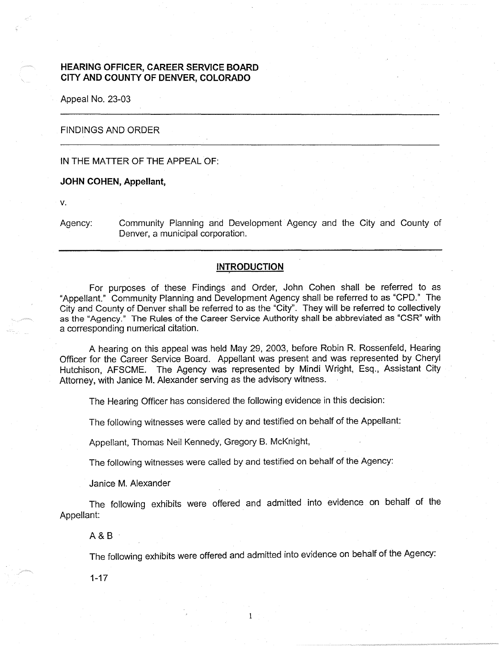# **HEARING OFFICER, CAREER SERVICE BOARD CITY AND COUNTY OF DENVER, COLORADO**

Appeal No. 23-03

# FINDINGS AND ORDER

### IN THE MATTER OF THE APPEAL OF:

### **JOHN COHEN, Appellant,**

**V.** 

Agency: Community Planning and Development Agency and the City and County of Denver, a municipal corporation.

# **INTRODUCTION**

For purposes of these Findings and Order, John Cohen shall be referred to as "Appellant." Community Planning and Development Agency shall be referred to as "CPD." The City and County of Denver shall be referred to as the "City". They will be referred to collectively as the "Agency." The Rules of the Career Service Authority shall be abbreviated as "CSR" with a corresponding numerical citation.

A hearing on this appeal was held May 29, 2003, before Robin R. Rossenfeld, Hearing Officer for the Career Service Board. Appellant was present and was represented by Cheryl Hutchison, AFSCME. The Agency was represented by Mindi Wright, Esq., Assistant City Attorney, with Janice M. Alexander serving as the advisory witness.

The Hearing Officer has considered the following evidence in this decision:

The following witnesses were called by and testified on behalf of the Appellant:

Appellant, Thomas Neil Kennedy, Gregory B. McKnight,

The following witnesses were called by and testified on behalf of the Agency:

Janice M. Alexander

The following exhibits were offered and admitted into evidence on behalf of the Appellant:

1

A&B

The following exhibits were offered and admitted into evidence on behalf of the Agency:

1-17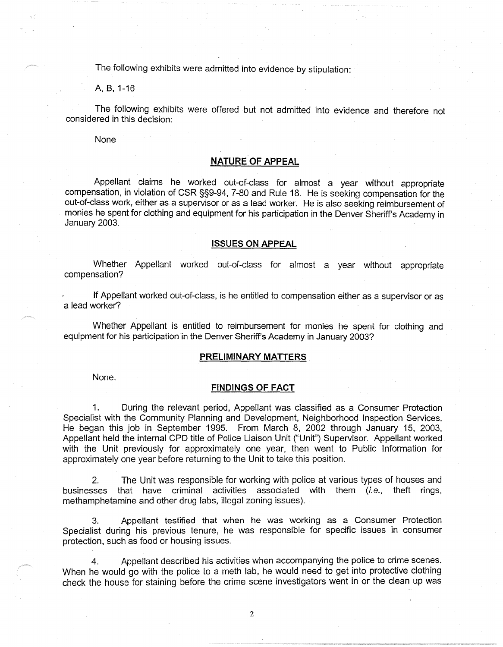The following exhibits were admitted into evidence by stipulation:

A, B, 1-16

The following exhibits were offered but not admitted into evidence and therefore not considered in this decision:

None

## **NATURE OF APPEAL**

Appellant claims he worked out-of-class for almost a year without appropriate compensation, in violation of CSR §§9-94, 7-80 and Rule 18. He is seeking compensation for the out-of-class work, either as a supervisor or as a lead worker. He is also seeking reimbursement of monies he spent for clothing and equipment for his participation in the Denver Sheriff's Academy in January 2003.

### **ISSUES ON APPEAL**

Whether Appellant worked out-of-class for almost a year without appropriate compensation?

If Appellant worked out-of-class, is he entitled to compensation either as a supervisor or as a lead worker?

Whether Appellant is entitled to reimbursement for monies he spent for clothing and equipment for his participation in the Denver Sheriff's Academy in January 2003?

#### **PRELIMINARY MATTERS**

None.

### **FINDINGS OF FACT**

1. During the relevant period, Appellant was classified as a Consumer Protection Specialist with the Community Planning and Development, Neighborhood Inspection Services. He began this job in September 1995. From March 8, 2002 through January 15, 2003, Appellant held the internal CPD title of Police Liaison Unit ("Unit") Supervisor. Appellant worked with the Unit previously for approximately one year, then went to Public Information for approximately one year before returning to the Unit to take this position.

2. The Unit was responsible for working with police at various types of houses and businesses that have criminal activities associated with them (i.e., theft rings, methamphetamine and other drug labs, illegal zoning issues).

3. Appellant testified that when he was working as a Consumer Protection Specialist during his previous tenure, he was responsible for specific issues in consumer protection, such as food or housing issues.

4. Appellant described his activities when accompanying the police to crime scenes. When he would go with the police to a meth lab, he would need to get into protective clothing check the house for staining before the crime scene investigators went in or the clean up was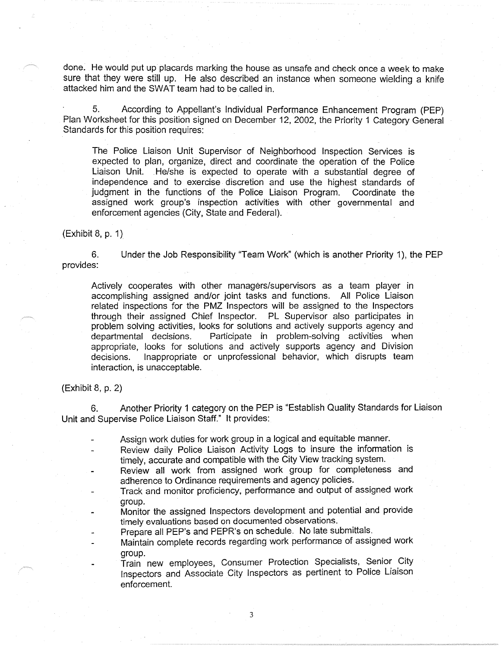done. He would put up placards marking the house as unsafe and check once a week to make sure that they were still up. He also described an instance when someone wielding a knife attacked him and the SWAT team had to be called in.

5. According to Appellant's Individual Performance Enhancement Program (PEP) Plan Worksheet for this position signed on December 12, 2002, the Priority 1 Category General Standards for this position requires:

The Police Liaison Unit Supervisor of Neighborhood Inspection Services is expected to plan, organize, direct and coordinate the operation of the Police Liaison Unit. He/she is expected to operate with a substantial degree of independence and to exercise discretion and use the highest standards of judgment in the functions of the Police Liaison Program. Coordinate the assigned work group's inspection activities with other governmental and enforcement agencies (City, State and Federal).

(Exhibit 8, p. 1)

6. Under the Job Responsibility "Team Work" (which is another Priority 1), the PEP provides:

Actively cooperates with other managers/supervisors as a team player in accomplishing assigned and/or joint tasks and functions. All Police Liaison related inspections for the PMZ Inspectors will be assigned to the Inspectors through their assigned Chief Inspector. PL Supervisor also participates in problem solving activities, looks for solutions and actively supports agency and departmental decisions. Participate in problem-solving activities when appropriate, looks for solutions and actively supports agency and Division decisions. Inappropriate or unprofessional behavior, which disrupts team interaction, is unacceptable.

(Exhibit 8, p. 2)

6. Another Priority 1 category on the PEP is "Establish Quality Standards for Liaison Unit and Supervise Police Liaison Staff." It provides:

Assign work duties for work group in a logical and equitable manner.

- Review daily Police Liaison Activity Logs to insure the information is timely, accurate and compatible with the City View tracking system.
- Review all work from assigned work group for completeness and adherence to Ordinance requirements and agency policies.
- Track and monitor proficiency, performance and output of assigned work group.
- Monitor the assigned Inspectors development and potential and provide timely evaluations based on documented observations.
- Prepare all PEP's and PEPR's on schedule. No late submittals.
- Maintain complete records regarding work performance of assigned work group.
	- Train new employees, Consumer Protection Specialists, Senior City Inspectors and Associate City Inspectors as pertinent to Police Liaison enforcement.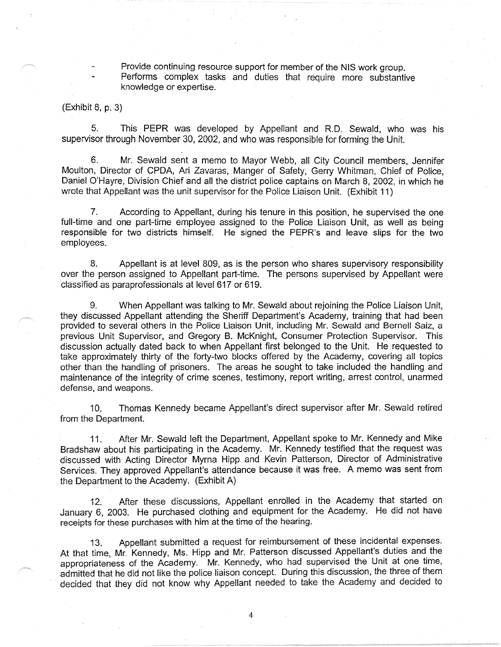Provide continuing resource support for member of the NIS work group. Performs complex tasks and duties that require more substantive knowledge or expertise.

(Exhibit 8, p. 3)

5. This PEPR was developed by Appellant and R.D. Sewald, who was his supervisor through November 30, 2002, and who was responsible for forming the Unit.

6. Mr. Sewald sent a memo to Mayor Webb, all City Council members, Jennifer Moulton, Director of CPDA, Ari Zavaras, Manger of Safety, Gerry Whitman, Chief of Police, Daniel O'Hayre, Division Chief and all the district police captains on March 8, 2002, in which he wrote that Appellant was the unit supervisor for the Police Liaison Unit. (Exhibit 11)

7. According to Appellant, during his tenure in this position, he supervised the one full-time and one part-time employee assigned to the Police Liaison Unit, as well as being responsible for two districts himself. He signed the PEPR's and leave slips for the two employees.

8. Appellant is at level 809, as is the person who shares supervisory responsibility over the person assigned to Appellant part-time. The persons supervised by Appellant were classified as paraprofessionals at level 617 or 619.

9. When Appellant was talking to Mr. Sewald about rejoining the Police Liaison Unit, they discussed Appellant attending the Sheriff Department's Academy, training that had been provided to several others in the Police Liaison Unit, including Mr. Sewald and Bernell Saiz, a previous Unit Supervisor, and Gregory B. McKnight, Consumer Protection Supervisor. This discussion actually dated back to when Appellant first belonged to the Unit. He requested to take approximately thirty of the forty-two blocks offered by the Academy, covering all topics other than the handling of prisoners. The areas he sought to take included the handling and maintenance of the integrity of crime scenes, testimony, report writing, arrest control, unarmed defense, and weapons.

10. Thomas Kennedy became Appellant's direct supervisor after Mr. Sewald retired from the Department.

11. After Mr. Sewald left the Department, Appellant spoke to Mr. Kennedy and Mike Bradshaw about his participating in the Academy. Mr. Kennedy testified that the request was discussed with Acting Director Myrna Hipp and Kevin Patterson, Director of Administrative Services. They approved Appellant's attendance because it was free. A memo was sent from the Department to the Academy. (Exhibit A)

12. After these discussions, Appellant enrolled in the Academy that started on January 6, 2003. He purchased clothing and equipment for the Academy. He did not have receipts for these purchases with him at the time of the hearing.

13. Appellant submitted a request for reimbursement of these incidental expenses. At that time, Mr. Kennedy, Ms. Hipp and Mr. Patterson discussed Appellant's duties and the appropriateness of the Academy. Mr. Kennedy, who had supervised the Unit at one time, admitted that he did not like the police liaison concept. During this discussion, the three of them decided that they did not know why Appellant needed to take the Academy and decided to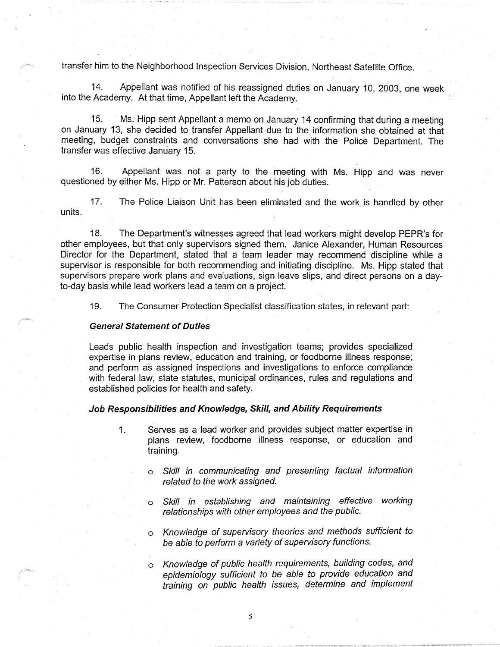transfer him to the Neighborhood Inspection Services Division, Northeast Satellite Office.

14. Appellant was notified of his reassigned duties on January 10, 2003, one week into the Academy. At that time, Appellant left the Academy.

15. Ms. Hipp sent Appellant a memo on January 14 confirming that during a meeting on January 13, she decided to transfer Appellant due to the information she obtained at that meeting, budget constraints and conversations she had with the Police Department. The transfer was effective January 15.

16. Appellant was not a party to the meeting with Ms. Hipp and was never questioned by either Ms. Hipp or Mr. Patterson about his job duties.

17. The Police Liaison Unit has been eliminated and the work is handled by other units.

18. The Department's witnesses agreed that lead workers might develop PEPR's for other employees, but that only supervisors signed them. Janice Alexander, Human Resources Director for the Department, stated that a team leader may recommend discipline while a supervisor is responsible for both recommending and initiating discipline. Ms. Hipp stated that supervisors prepare work plans and evaluations, sign leave slips, and direct persons on a dayto-day basis while lead workers lead a team on a project.

19. The Consumer Protection Specialist classification states, in relevant part:

#### **General Statement of Duties**

Leads public health inspection and investigation teams; provides specialized expertise in plans review, education and training, or foodborne illness response; and perform as assigned inspections and investigations to enforce compliance with federal law, state statutes, municipal ordinances, rules and regulations and established policies for health and safety.

# **Job Responsibilities and Knowledge, Skill, and Ability Requirements**

- 1. Serves as a lead worker and provides subject matter expertise in plans review, foodborne illness response, or education and training.
	- o Skill in communicating and presenting factual information related to the work assigned.
	- o Skill in establishing and maintaining effective working relationships with other employees and the public.
	- o Knowledge of supervisory theories and methods sufficient to be able to perform a variety of supervisory functions.

Knowledge of public health requirements, building codes, and epidemiology sufficient to be able to provide education and training on public health issues, determine and implement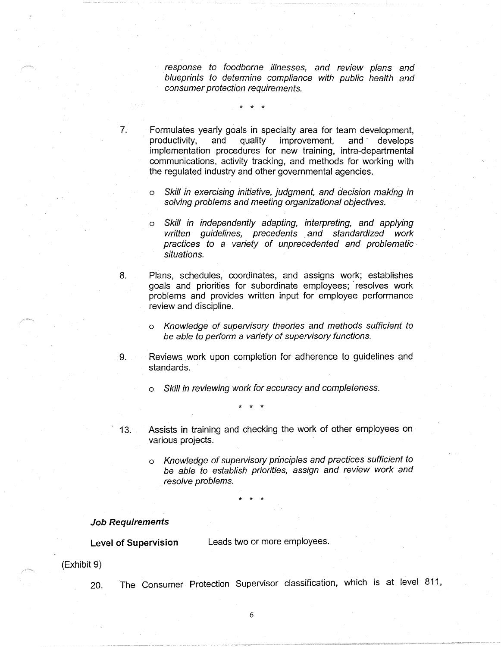response to foodborne illnesses, and review plans and blueprints to determine compliance with public health and consumer protection requirements.

7. Formulates yearly goals in specialty area for team development,<br>productivity, and quality improvement, and develops productivity, and quality improvement, and develops implementation procedures for new training, intra-departmental communications, activity tracking, and methods for working with the regulated industry and other governmental agencies.

\* \* \*

- Skill in exercising initiative, judgment, and decision making in solving problems and meeting organizational objectives.
- o Skill in independently adapting, interpreting, and applying written guidelines, precedents and standardized work practices to a variety of unprecedented and problematic • situations.
- 8. Plans, schedules, coordinates, and assigns work; establishes goals and priorities for subordinate employees; resolves work problems and provides written input for employee performance review and discipline.
	- o Knowledge of supervisory theories and methods sufficient to be able to perform a variety of supervisory functions.
- 9. Reviews work upon completion for adherence to guidelines and standards.
	- o Skill in reviewing work for accuracy and completeness.

\* \* \*

- 13. Assists in training and checking the work of other employees on various projects.
	- o Knowledge of supervisory principles and practices sufficient to be able to establish priorities, assign and review work and resolve problems.

\* \* \*

## **Job Requirements**

**Level of Supervision** Leads two or more employees.

(Exhibit 9)

20. The Consumer Protection Supervisor classification, which is at level 811,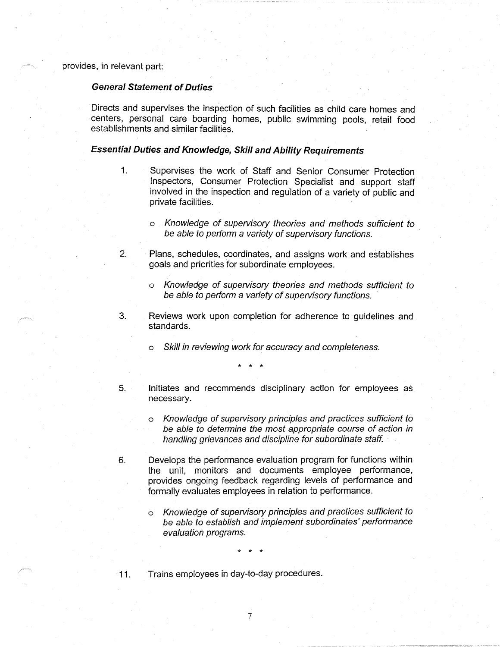provides, in relevant part:

# **General Statement of Duties**

Directs and supervises the inspection of such facilities as child care homes and centers, personal care boarding homes, public swimming pools, retail food establishments and similar facilities.

### **Essential Duties and Knowledge, Skill and Ability Requirements**

- 1. Supervises the work of Staff and Senior Consumer Protection Inspectors, Consumer Protection Specialist and support staff involved in the inspection and regulation of a variety of public and private facilities.
	- o Knowledge of supervisory theories and methods sufficient to be able to perform a variety of supervisory functions.
- 2. Plans, schedules, coordinates, and assigns work and establishes goals and priorities for subordinate employees.
	- Knowledge of supervisory theories and methods sufficient to be able to perform a variety of supervisory functions.
- 3. Reviews work upon completion for adherence to guidelines and standards.
	- Skill in reviewing work for accuracy and completeness.

\* \* \*

- 5. Initiates and recommends disciplinary action for employees as necessary.
	- o Knowledge of supervisory principles and practices sufficient to be able to determine the most appropriate course of action in handling grievances and discipline for subordinate staff.
- 6. Develops the performance evaluation program for functions within the unit, monitors and documents employee performance, provides ongoing feedback regarding levels of performance and formally evaluates employees in relation to performance.
	- o Knowledge of supervisory principles and practices sufficient to be able to establish and implement subordinates' performance evaluation programs.

\* \* \*

- 
- 11. Trains employees in day-to-day procedures.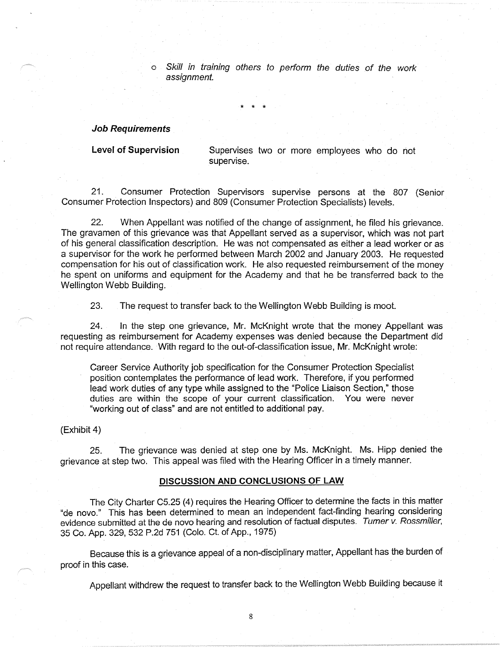o Skill in training others to perform the duties of the work assignment.

## **Job Requirements**

Level of Supervision Supervises two or more employees who do not supervise.

21. Consumer Protection Supervisors supervise persons at the 807 (Senior Consumer Protection Inspectors) and 809 (Consumer Protection Specialists) levels.

\* \* \*

22. When Appellant was notified of the change of assignment, he filed his grievance. The gravamen of this grievance was that Appellant served as a supervisor, which was not part of his general classification description. He was not compensated as either a lead worker or as a supervisor for the work he performed between March 2002 and January 2003. He requested compensation for his out of classification work. He also requested reimbursement of the money he spent on uniforms and equipment for the Academy and that he be transferred back to the Wellington Webb Building.

23. The request to transfer back to the Wellington Webb Building is moot.

24. In the step one grievance, Mr. McKnight wrote that the money Appellant was requesting as reimbursement for Academy expenses was denied because the Department did not require attendance. With regard to the out-of-classification issue, Mr. McKnight wrote:

Career Service Authority job specification for the Consumer Protection Specialist position contemplates the performance of lead work. Therefore, if you performed lead work duties of any type while assigned to the "Police Liaison Section," those duties are within the scope of your current classification. You were never "working out of class" and are not entitled to additional pay.

(Exhibit 4)

25. The grievance was denied at step one by Ms. McKnight. Ms. Hipp denied the grievance at step two. This appeal was filed with the Hearing Officer in a timely manner.

### **DISCUSSION AND CONCLUSIONS OF LAW**

The City Charter C5.25 (4) requires the Hearing Officer to determine the facts in this matter "de novo." This has been determined to mean an independent fact-finding hearing considering evidence submitted at the de novo hearing and resolution of factual disputes. Turner v. Rossmiller, 35 Co. App. 329, 532 P.2d 751 (Colo. Ct. of App., 1975)

Because this is a grievance appeal of a non-disciplinary matter, Appellant has the burden of proof in this case.

Appellant withdrew the request to transfer back to the Wellington Webb Building because it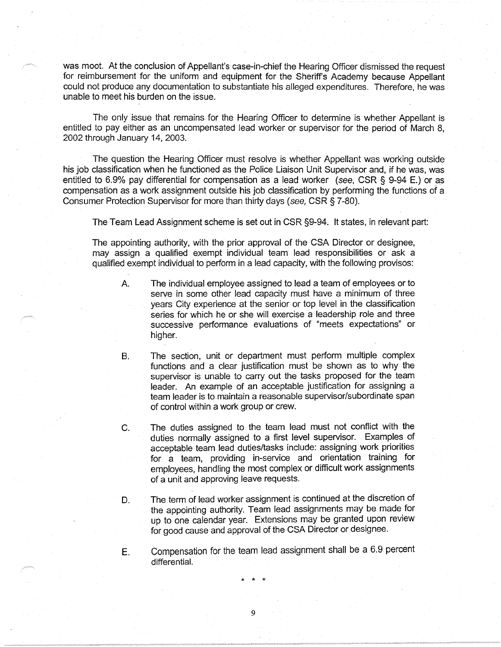was moot. At the conclusion of Appellant's case-in-chief the Hearing Officer dismissed the request for reimbursement for the uniform and equipment for the Sheriff's Academy because Appellant could not produce any documentation to substantiate his alleged expenditures. Therefore, he was unable to meet his burden on the issue.

The only issue that remains for the Hearing Officer to determine is whether Appellant is entitled to pay either as an uncompensated lead worker or supervisor for the period of March 8, 2002 through January 14, 2003.

The question the Hearing Officer must resolve is whether Appellant was working outside his job classification when he functioned as the Police Liaison Unit Supervisor and, if he was, was entitled to 6.9% pay differential for compensation as a lead worker (see, CSR § 9-94 E.) or as compensation as a work assignment outside his job classification by performing the functions of a Consumer Protection Supervisor for more than thirty days (see, CSR§ 7-80).

The Team Lead Assignment scheme is set out in CSR §9-94. It states, in relevant part:

The appointing authority, with the prior approval of the CSA Director or designee, may assign a qualified exempt individual team lead responsibilities or ask a qualified exempt individual to perform in a lead capacity, with the following provisos:

- A. The individual employee assigned to lead a team of employees or to serve in some other lead capacity must have a minimum of three years City experience at the senior or top level in the classification series for which he or she will exercise a leadership role and three successive performance evaluations of "meets expectations" or higher.
- B. The section, unit or department must perform multiple complex functions and a clear justification must be shown as to why the supervisor is unable to carry out the tasks proposed for the team leader. An example of an acceptable justification for assigning a team leader is to maintain a reasonable supervisor/subordinate span of control within a work group or crew.
- C. The duties assigned to the team lead must not conflict with the duties normally assigned to a first level supervisor. Examples of acceptable team lead duties/tasks include: assigning work priorities for a team, providing in-service and orientation training for employees, handling the most complex or difficult work assignments of a unit and approving leave requests.
- D. The term of lead worker assignment is continued at the discretion of the appointing authority. Team lead assignments may be made for up to one calendar year. Extensions may be granted upon review for good cause and approval of the CSA Director or designee.
- E. Compensation for the team lead assignment shall be a 6.9 percent differential.

\* \* \*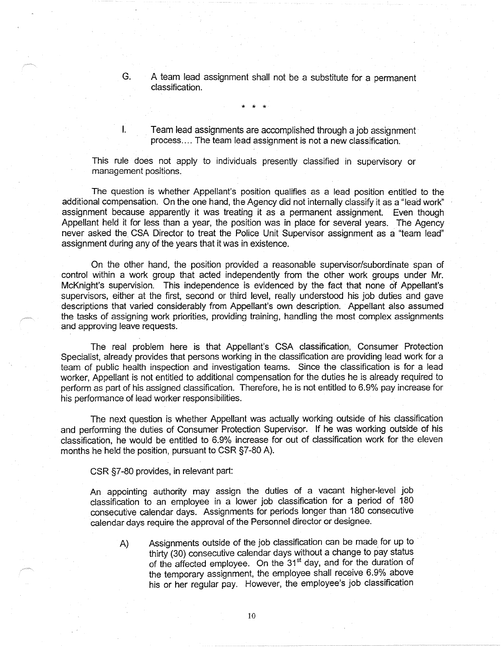G. A team lead assignment shall not be a substitute for a permanent classification.

I. Team lead assignments are accomplished through a job assignment process .... The team lead assignment is not a new classification.

This rule does not apply to individuals presently classified in supervisory or management positions.

\* \* \*

The question is whether Appellant's position qualifies as a lead position entitled to the additional compensation. On the one hand, the Agency did not internally classify it as a "lead work'' assignment because apparently it was treating it as a permanent assignment. Even though Appellant held it for less than a year, the position was in place for several years. The Agency never asked the CSA Director to treat the Police Unit Supervisor assignment as a "team lead" assignment during any of the years that it was in existence.

On the other hand, the position provided a reasonable supervisor/subordinate span of control within a work group that acted independently from the other work groups under Mr. McKnight's supervision. This independence is evidenced by the fact that none of Appellant's supervisors, either at the first, second or third level, really understood his job duties and gave descriptions that varied considerably from Appellant's own description. Appellant also assumed the tasks of assigning work priorities, providing training, handling the most complex assignments and approving leave requests.

The real problem here is that Appellant's CSA classification, Consumer Protection Specialist, already provides that persons working in the classification are providing lead work for a team of public health inspection and investigation teams. Since the classification is for a lead worker, Appellant is not entitled to additional compensation for the duties he is already required to perform as part of his assigned classification. Therefore, he is not entitled to 6.9% pay increase for his performance of lead worker responsibilities.

The next question is whether Appellant was actually working outside of his classification and performing the duties of Consumer Protection Supervisor. If he was working outside of his classification, he would be entitled to 6.9% increase for out of classification work for the eleven months he held the position, pursuant to CSR §7-80 A).

CSR §7-80 provides, in relevant part:

An appointing authority may assign the duties of a vacant higher-level job classification to an employee in a lower job classification for a period of 180 consecutive calendar days. Assignments for periods longer than 180 consecutive calendar days require the approval of the Personnel director or designee.

A) Assignments outside of the job classification can be made. for up to thirty (30) consecutive calendar days without a change to pay status of the affected employee. On the 31<sup>st</sup> day, and for the duration of the temporary assignment, the employee shall receive 6.9% above his or her regular pay. However, the employee's job classification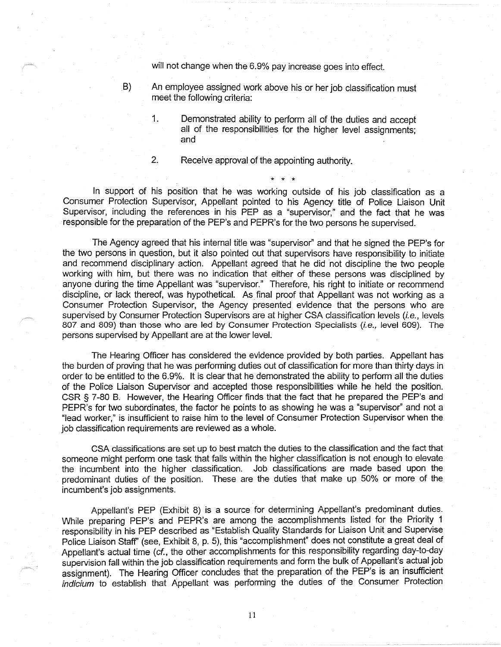will not change when the 6.9% pay increase goes into effect.

- B) An employee assigned work above his or her job classification must meet the following criteria:
	- 1. Demonstrated ability to perform all of the duties and accept all of the responsibilities for the higher level assignments; and

\* \* \*

2. Receive approval of the appointing authority.

In support of his position that he was working outside of his job classification as a Consumer Protection Supervisor, Appellant pointed to his Agency title of Police Liaison Unit Supervisor, including the references in his PEP as a "supervisor," and the fact that he was responsible for the preparation of the PEP's and PEPR's for the two persons he supervised.

The Agency agreed that his internal title was "supervisor" and that he signed the PEP's for the two persons in question, but it also pointed out that supervisors have responsibility to initiate and recommend disciplinary action. Appellant agreed that he did not discipline the two people working with him, but there was no indication that either of these persons was disciplined by anyone during the time Appellant was "supervisor." Therefore, his right to initiate or recommend discipline, or lack thereof, was hypothetical. As final proof that Appellant was not working as a Consumer Protection Supervisor, the Agency presented evidence that the persons who are supervised by Consumer Protection Supervisors are at higher CSA classification levels (i.e., levels 807 and 809) than those who are led by Consumer Protection Specialists (i.e., level 609). The persons supervised by Appellant are at the lower level.

The Hearing Officer has considered the evidence provided by both parties. Appellant has the burden of proving that he was performing duties out of classification for more than thirty days in order to be entitled to the 6.9%. It is clear that he demonstrated the ability to perform all the duties of the Police Liaison Supervisor and accepted those responsibilities while he held the position. CSR § 7-80 B. However, the Hearing Officer finds that the fact that he prepared the PEP's and PEPR's for two subordinates, the factor he points to as showing he was a "supervisor" and not a "lead worker," is insufficient to raise him to the level of Consumer Protection Supervisor when the job classification requirements are reviewed as a whole.

CSA classifications are set up to best match the duties to the classification and the fact that someone might perform one task that falls within the higher classification is not enough to elevate the incumbent into the higher classification. Job classifications are made based upon the predominant duties of the position. These are the duties that make up 50% or more of the incumbent's job assignments.

Appellant's PEP (Exhibit 8) is a source for determining Appellant's predominant duties. While preparing PEP's and PEPR's are among the accomplishments listed for the Priority 1 responsibility in his PEP described as "Establish Quality Standards for Liaison Unit and Supervise Police Liaison Staff" (see, Exhibit 8, p. 5), this "accomplishment" does not constitute a great deal of Appellant's actual time (cf., the other accomplishments for this responsibility regarding day-to-day supervision fall within the job classification requirements and form the bulk of Appellant's actual job assignment). The Hearing Officer concludes that the preparation of the PEP's is an insufficient indicium to establish that Appellant was performing the duties of the Consumer Protection